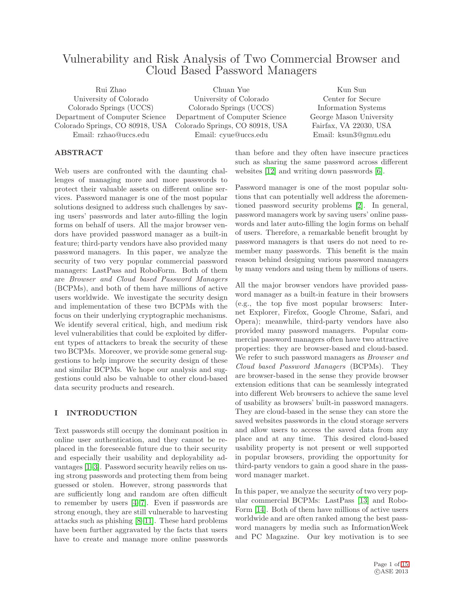# Vulnerability and Risk Analysis of Two Commercial Browser and Cloud Based Password Managers

Rui Zhao University of Colorado Colorado Springs (UCCS) Department of Computer Science Colorado Springs, CO 80918, USA Email: rzhao@uccs.edu Chuan Yue University of Colorado Colorado Springs (UCCS) Department of Computer Science Colorado Springs, CO 80918, USA Email: cyue@uccs.edu Kun Sun Center for Secure Information Systems George Mason University Fairfax, VA 22030, USA Email: ksun3@gmu.edu

### ABSTRACT

Web users are confronted with the daunting challenges of managing more and more passwords to protect their valuable assets on different online services. Password manager is one of the most popular solutions designed to address such challenges by saving users' passwords and later auto-filling the login forms on behalf of users. All the major browser vendors have provided password manager as a built-in feature; third-party vendors have also provided many password managers. In this paper, we analyze the security of two very popular commercial password managers: LastPass and RoboForm. Both of them are *Browser and Cloud based Password Managers* (BCPMs), and both of them have millions of active users worldwide. We investigate the security design and implementation of these two BCPMs with the focus on their underlying cryptographic mechanisms. We identify several critical, high, and medium risk level vulnerabilities that could be exploited by different types of attackers to break the security of these two BCPMs. Moreover, we provide some general suggestions to help improve the security design of these and similar BCPMs. We hope our analysis and suggestions could also be valuable to other cloud-based data security products and research.

## <span id="page-0-0"></span>I INTRODUCTION

Text passwords still occupy the dominant position in online user authentication, and they cannot be replaced in the foreseeable future due to their security and especially their usability and deployability advantages [\[1](#page-13-0)[–3\]](#page-13-1). Password security heavily relies on using strong passwords and protecting them from being guessed or stolen. However, strong passwords that are sufficiently long and random are often difficult to remember by users [\[4](#page-13-2)[–7\]](#page-13-3). Even if passwords are strong enough, they are still vulnerable to harvesting attacks such as phishing [\[8](#page-13-4)[–11\]](#page-13-5). These hard problems have been further aggravated by the facts that users have to create and manage more online passwords

than before and they often have insecure practices such as sharing the same password across different websites [\[12\]](#page-13-6) and writing down passwords [\[6\]](#page-13-7).

Password manager is one of the most popular solutions that can potentially well address the aforementioned password security problems [\[2\]](#page-13-8). In general, password managers work by saving users' online passwords and later auto-filling the login forms on behalf of users. Therefore, a remarkable benefit brought by password managers is that users do not need to remember many passwords. This benefit is the main reason behind designing various password managers by many vendors and using them by millions of users.

All the major browser vendors have provided password manager as a built-in feature in their browsers (e.g., the top five most popular browsers: Internet Explorer, Firefox, Google Chrome, Safari, and Opera); meanwhile, third-party vendors have also provided many password managers. Popular commercial password managers often have two attractive properties: they are browser-based and cloud-based. We refer to such password managers as *Browser and Cloud based Password Managers* (BCPMs). They are browser-based in the sense they provide browser extension editions that can be seamlessly integrated into different Web browsers to achieve the same level of usability as browsers' built-in password managers. They are cloud-based in the sense they can store the saved websites passwords in the cloud storage servers and allow users to access the saved data from any place and at any time. This desired cloud-based usability property is not present or well supported in popular browsers, providing the opportunity for third-party vendors to gain a good share in the password manager market.

In this paper, we analyze the security of two very popular commercial BCPMs: LastPass [\[13\]](#page-13-9) and Robo-Form [\[14\]](#page-13-10). Both of them have millions of active users worldwide and are often ranked among the best password managers by media such as InformationWeek and PC Magazine. Our key motivation is to see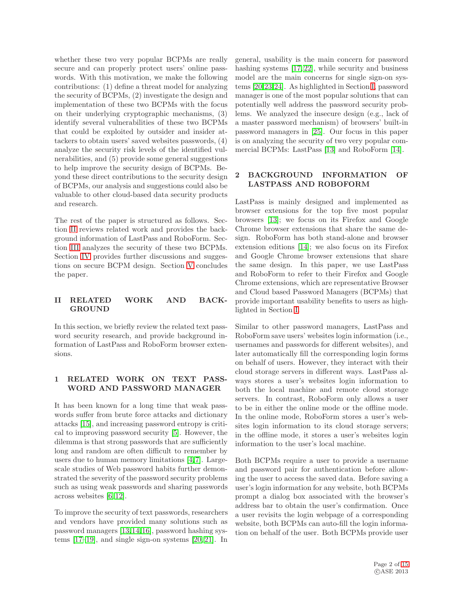whether these two very popular BCPMs are really secure and can properly protect users' online passwords. With this motivation, we make the following contributions: (1) define a threat model for analyzing the security of BCPMs, (2) investigate the design and implementation of these two BCPMs with the focus on their underlying cryptographic mechanisms, (3) identify several vulnerabilities of these two BCPMs that could be exploited by outsider and insider attackers to obtain users' saved websites passwords, (4) analyze the security risk levels of the identified vulnerabilities, and (5) provide some general suggestions to help improve the security design of BCPMs. Beyond these direct contributions to the security design of BCPMs, our analysis and suggestions could also be valuable to other cloud-based data security products and research.

The rest of the paper is structured as follows. Section [II](#page-1-0) reviews related work and provides the background information of LastPass and RoboForm. Section [III](#page-2-0) analyzes the security of these two BCPMs. Section [IV](#page-11-0) provides further discussions and suggestions on secure BCPM design. Section [V](#page-13-11) concludes the paper.

### <span id="page-1-0"></span>II RELATED WORK AND BACK-GROUND

In this section, we briefly review the related text password security research, and provide background information of LastPass and RoboForm browser extensions.

## 1 RELATED WORK ON TEXT PASS-WORD AND PASSWORD MANAGER

It has been known for a long time that weak passwords suffer from brute force attacks and dictionary attacks [\[15\]](#page-13-12), and increasing password entropy is critical to improving password security [\[5\]](#page-13-13). However, the dilemma is that strong passwords that are sufficiently long and random are often difficult to remember by users due to human memory limitations [\[4,](#page-13-2)[7\]](#page-13-3). Largescale studies of Web password habits further demonstrated the severity of the password security problems such as using weak passwords and sharing passwords across websites [\[6,](#page-13-7) [12\]](#page-13-6).

To improve the security of text passwords, researchers and vendors have provided many solutions such as password managers [\[13,](#page-13-9)[14,](#page-13-10)[16\]](#page-13-14), password hashing systems [\[17](#page-14-1)[–19\]](#page-14-2), and single sign-on systems [\[20,](#page-14-3) [21\]](#page-14-4). In

general, usability is the main concern for password hashing systems [\[17,](#page-14-1) [22\]](#page-14-5), while security and business model are the main concerns for single sign-on systems [\[20,](#page-14-3)[23,](#page-14-6)[24\]](#page-14-7). As highlighted in Section [I,](#page-0-0) password manager is one of the most popular solutions that can potentially well address the password security problems. We analyzed the insecure design (e.g., lack of a master password mechanism) of browsers' built-in password managers in [\[25\]](#page-14-8). Our focus in this paper is on analyzing the security of two very popular commercial BCPMs: LastPass [\[13\]](#page-13-9) and RoboForm [\[14\]](#page-13-10).

#### 2 BACKGROUND INFORMATION OF LASTPASS AND ROBOFORM

LastPass is mainly designed and implemented as browser extensions for the top five most popular browsers [\[13\]](#page-13-9); we focus on its Firefox and Google Chrome browser extensions that share the same design. RoboForm has both stand-alone and browser extension editions [\[14\]](#page-13-10); we also focus on its Firefox and Google Chrome browser extensions that share the same design. In this paper, we use LastPass and RoboForm to refer to their Firefox and Google Chrome extensions, which are representative Browser and Cloud based Password Managers (BCPMs) that provide important usability benefits to users as highlighted in Section [I.](#page-0-0)

Similar to other password managers, LastPass and RoboForm save users' websites login information (i.e., usernames and passwords for different websites), and later automatically fill the corresponding login forms on behalf of users. However, they interact with their cloud storage servers in different ways. LastPass always stores a user's websites login information to both the local machine and remote cloud storage servers. In contrast, RoboForm only allows a user to be in either the online mode or the offline mode. In the online mode, RoboForm stores a user's websites login information to its cloud storage servers; in the offline mode, it stores a user's websites login information to the user's local machine.

Both BCPMs require a user to provide a username and password pair for authentication before allowing the user to access the saved data. Before saving a user's login information for any website, both BCPMs prompt a dialog box associated with the browser's address bar to obtain the user's confirmation. Once a user revisits the login webpage of a corresponding website, both BCPMs can auto-fill the login information on behalf of the user. Both BCPMs provide user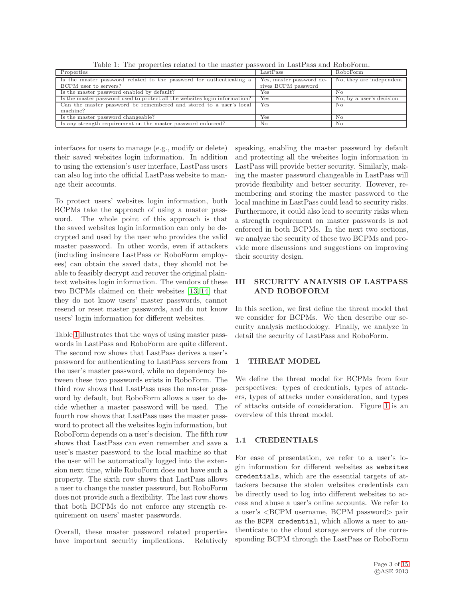<span id="page-2-1"></span>

| Table 1: The properties related to the master password in LastPass and RoboForm. |  |  |  |  |  |
|----------------------------------------------------------------------------------|--|--|--|--|--|
|----------------------------------------------------------------------------------|--|--|--|--|--|

| Properties                                                                 | LastPass                 | RoboForm                        |
|----------------------------------------------------------------------------|--------------------------|---------------------------------|
| Is the master password related to the password for authenticating a        | Yes, master password de- | $\sim$ No, they are independent |
| BCPM user to servers?                                                      | rives BCPM password      |                                 |
| Is the master password enabled by default?                                 | Yes                      | No                              |
| Is the master password used to protect all the websites login information? | Yes                      | No, by a user's decision        |
| Can the master password be remembered and stored to a user's local         | Yes                      | No.                             |
| machine?                                                                   |                          |                                 |
| Is the master password changeable?                                         | Yes                      | No                              |
| Is any strength requirement on the master password enforced?               | No                       | No                              |

interfaces for users to manage (e.g., modify or delete) their saved websites login information. In addition to using the extension's user interface, LastPass users can also log into the official LastPass website to manage their accounts.

To protect users' websites login information, both BCPMs take the approach of using a master password. The whole point of this approach is that the saved websites login information can only be decrypted and used by the user who provides the valid master password. In other words, even if attackers (including insincere LastPass or RoboForm employees) can obtain the saved data, they should not be able to feasibly decrypt and recover the original plaintext websites login information. The vendors of these two BCPMs claimed on their websites [\[13,](#page-13-9) [14\]](#page-13-10) that they do not know users' master passwords, cannot resend or reset master passwords, and do not know users' login information for different websites.

Table [1](#page-2-1) illustrates that the ways of using master passwords in LastPass and RoboForm are quite different. The second row shows that LastPass derives a user's password for authenticating to LastPass servers from the user's master password, while no dependency between these two passwords exists in RoboForm. The third row shows that LastPass uses the master password by default, but RoboForm allows a user to decide whether a master password will be used. The fourth row shows that LastPass uses the master password to protect all the websites login information, but RoboForm depends on a user's decision. The fifth row shows that LastPass can even remember and save a user's master password to the local machine so that the user will be automatically logged into the extension next time, while RoboForm does not have such a property. The sixth row shows that LastPass allows a user to change the master password, but RoboForm does not provide such a flexibility. The last row shows that both BCPMs do not enforce any strength requirement on users' master passwords.

Overall, these master password related properties have important security implications. Relatively speaking, enabling the master password by default and protecting all the websites login information in LastPass will provide better security. Similarly, making the master password changeable in LastPass will provide flexibility and better security. However, remembering and storing the master password to the local machine in LastPass could lead to security risks. Furthermore, it could also lead to security risks when a strength requirement on master passwords is not enforced in both BCPMs. In the next two sections, we analyze the security of these two BCPMs and provide more discussions and suggestions on improving their security design.

## <span id="page-2-0"></span>III SECURITY ANALYSIS OF LASTPASS AND ROBOFORM

In this section, we first define the threat model that we consider for BCPMs. We then describe our security analysis methodology. Finally, we analyze in detail the security of LastPass and RoboForm.

## 1 THREAT MODEL

We define the threat model for BCPMs from four perspectives: types of credentials, types of attackers, types of attacks under consideration, and types of attacks outside of consideration. Figure [1](#page-3-0) is an overview of this threat model.

## 1.1 CREDENTIALS

For ease of presentation, we refer to a user's login information for different websites as websites credentials, which are the essential targets of attackers because the stolen websites credentials can be directly used to log into different websites to access and abuse a user's online accounts. We refer to a user's <BCPM username, BCPM password> pair as the BCPM credential, which allows a user to authenticate to the cloud storage servers of the corresponding BCPM through the LastPass or RoboForm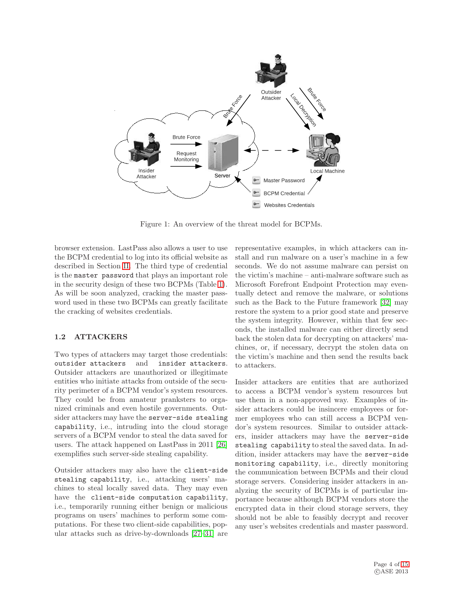

<span id="page-3-0"></span>Figure 1: An overview of the threat model for BCPMs.

browser extension. LastPass also allows a user to use the BCPM credential to log into its official website as described in Section [II.](#page-1-0) The third type of credential is the master password that plays an important role in the security design of these two BCPMs (Table [1\)](#page-2-1). As will be soon analyzed, cracking the master password used in these two BCPMs can greatly facilitate the cracking of websites credentials.

## <span id="page-3-1"></span>1.2 ATTACKERS

Two types of attackers may target those credentials: outsider attackers and insider attackers. Outsider attackers are unauthorized or illegitimate entities who initiate attacks from outside of the security perimeter of a BCPM vendor's system resources. They could be from amateur pranksters to organized criminals and even hostile governments. Outsider attackers may have the server-side stealing capability, i.e., intruding into the cloud storage servers of a BCPM vendor to steal the data saved for users. The attack happened on LastPass in 2011 [\[26\]](#page-14-9) exemplifies such server-side stealing capability.

Outsider attackers may also have the client-side stealing capability, i.e., attacking users' machines to steal locally saved data. They may even have the client-side computation capability, i.e., temporarily running either benign or malicious programs on users' machines to perform some computations. For these two client-side capabilities, popular attacks such as drive-by-downloads [\[27–](#page-14-10)[31\]](#page-14-11) are representative examples, in which attackers can install and run malware on a user's machine in a few seconds. We do not assume malware can persist on the victim's machine – anti-malware software such as Microsoft Forefront Endpoint Protection may eventually detect and remove the malware, or solutions such as the Back to the Future framework [\[32\]](#page-14-12) may restore the system to a prior good state and preserve the system integrity. However, within that few seconds, the installed malware can either directly send back the stolen data for decrypting on attackers' machines, or, if necessary, decrypt the stolen data on the victim's machine and then send the results back to attackers.

Insider attackers are entities that are authorized to access a BCPM vendor's system resources but use them in a non-approved way. Examples of insider attackers could be insincere employees or former employees who can still access a BCPM vendor's system resources. Similar to outsider attackers, insider attackers may have the server-side stealing capability to steal the saved data. In addition, insider attackers may have the server-side monitoring capability, i.e., directly monitoring the communication between BCPMs and their cloud storage servers. Considering insider attackers in analyzing the security of BCPMs is of particular importance because although BCPM vendors store the encrypted data in their cloud storage servers, they should not be able to feasibly decrypt and recover any user's websites credentials and master password.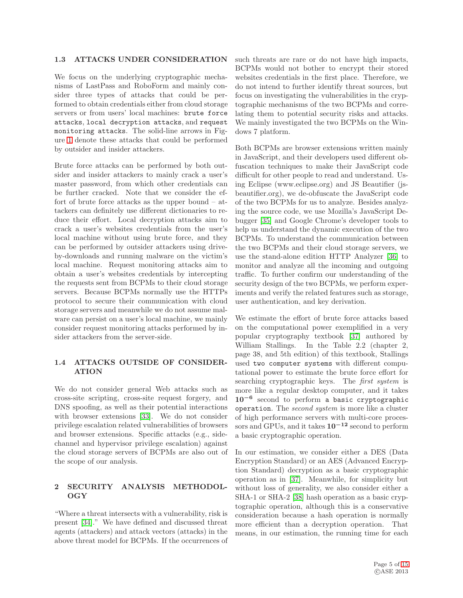#### <span id="page-4-1"></span>1.3 ATTACKS UNDER CONSIDERATION

We focus on the underlying cryptographic mechanisms of LastPass and RoboForm and mainly consider three types of attacks that could be performed to obtain credentials either from cloud storage servers or from users' local machines: brute force attacks, local decryption attacks, and request monitoring attacks. The solid-line arrows in Figure [1](#page-3-0) denote these attacks that could be performed by outsider and insider attackers.

Brute force attacks can be performed by both outsider and insider attackers to mainly crack a user's master password, from which other credentials can be further cracked. Note that we consider the effort of brute force attacks as the upper bound – attackers can definitely use different dictionaries to reduce their effort. Local decryption attacks aim to crack a user's websites credentials from the user's local machine without using brute force, and they can be performed by outsider attackers using driveby-downloads and running malware on the victim's local machine. Request monitoring attacks aim to obtain a user's websites credentials by intercepting the requests sent from BCPMs to their cloud storage servers. Because BCPMs normally use the HTTPs protocol to secure their communication with cloud storage servers and meanwhile we do not assume malware can persist on a user's local machine, we mainly consider request monitoring attacks performed by insider attackers from the server-side.

#### 1.4 ATTACKS OUTSIDE OF CONSIDER-ATION

We do not consider general Web attacks such as cross-site scripting, cross-site request forgery, and DNS spoofing, as well as their potential interactions with browser extensions [\[33\]](#page-14-13). We do not consider privilege escalation related vulnerabilities of browsers and browser extensions. Specific attacks (e.g., sidechannel and hypervisor privilege escalation) against the cloud storage servers of BCPMs are also out of the scope of our analysis.

#### <span id="page-4-0"></span>2 SECURITY ANALYSIS METHODOL-OGY

"Where a threat intersects with a vulnerability, risk is present [\[34\]](#page-14-14)." We have defined and discussed threat agents (attackers) and attack vectors (attacks) in the above threat model for BCPMs. If the occurrences of

such threats are rare or do not have high impacts, BCPMs would not bother to encrypt their stored websites credentials in the first place. Therefore, we do not intend to further identify threat sources, but focus on investigating the vulnerabilities in the cryptographic mechanisms of the two BCPMs and correlating them to potential security risks and attacks. We mainly investigated the two BCPMs on the Windows 7 platform.

Both BCPMs are browser extensions written mainly in JavaScript, and their developers used different obfuscation techniques to make their JavaScript code difficult for other people to read and understand. Using Eclipse (www.eclipse.org) and JS Beautifier (jsbeautifier.org), we de-obfuscate the JavaScript code of the two BCPMs for us to analyze. Besides analyzing the source code, we use Mozilla's JavaScript Debugger [\[35\]](#page-14-15) and Google Chrome's developer tools to help us understand the dynamic execution of the two BCPMs. To understand the communication between the two BCPMs and their cloud storage servers, we use the stand-alone edition HTTP Analyzer [\[36\]](#page-14-16) to monitor and analyze all the incoming and outgoing traffic. To further confirm our understanding of the security design of the two BCPMs, we perform experiments and verify the related features such as storage, user authentication, and key derivation.

We estimate the effort of brute force attacks based on the computational power exemplified in a very popular cryptography textbook [\[37\]](#page-14-17) authored by William Stallings. In the Table 2.2 (chapter 2, page 38, and 5th edition) of this textbook, Stallings used two computer systems with different computational power to estimate the brute force effort for searching cryptographic keys. The *first system* is more like a regular desktop computer, and it takes 10<sup>−</sup><sup>6</sup> second to perform a basic cryptographic operation. The *second system* is more like a cluster of high performance servers with multi-core processors and GPUs, and it takes  $10^{-12}$  second to perform a basic cryptographic operation.

In our estimation, we consider either a DES (Data Encryption Standard) or an AES (Advanced Encryption Standard) decryption as a basic cryptographic operation as in [\[37\]](#page-14-17). Meanwhile, for simplicity but without loss of generality, we also consider either a SHA-1 or SHA-2 [\[38\]](#page-14-18) hash operation as a basic cryptographic operation, although this is a conservative consideration because a hash operation is normally more efficient than a decryption operation. That means, in our estimation, the running time for each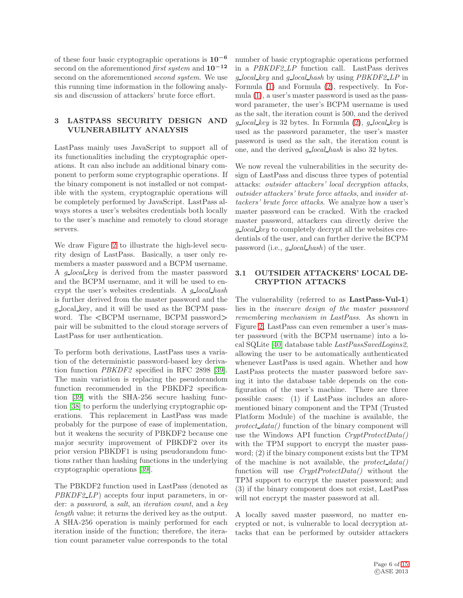of these four basic cryptographic operations is 10−<sup>6</sup> second on the aforementioned *first system* and 10−<sup>12</sup> second on the aforementioned *second system*. We use this running time information in the following analysis and discussion of attackers' brute force effort.

## 3 LASTPASS SECURITY DESIGN AND VULNERABILITY ANALYSIS

LastPass mainly uses JavaScript to support all of its functionalities including the cryptographic operations. It can also include an additional binary component to perform some cryptographic operations. If the binary component is not installed or not compatible with the system, cryptographic operations will be completely performed by JavaScript. LastPass always stores a user's websites credentials both locally to the user's machine and remotely to cloud storage servers.

We draw Figure [2](#page-6-0) to illustrate the high-level security design of LastPass. Basically, a user only remembers a master password and a BCPM username. A *g local key* is derived from the master password and the BCPM username, and it will be used to encrypt the user's websites credentials. A *g local hash* is further derived from the master password and the g local key, and it will be used as the BCPM password. The  $\langle$ BCPM username, BCPM password $>$ pair will be submitted to the cloud storage servers of LastPass for user authentication.

To perform both derivations, LastPass uses a variation of the deterministic password-based key derivation function *PBKDF2* specified in RFC 2898 [\[39\]](#page-14-19). The main variation is replacing the pseudorandom function recommended in the PBKDF2 specification [\[39\]](#page-14-19) with the SHA-256 secure hashing function [\[38\]](#page-14-18) to perform the underlying cryptographic operations. This replacement in LastPass was made probably for the purpose of ease of implementation, but it weakens the security of PBKDF2 because one major security improvement of PBKDF2 over its prior version PBKDF1 is using pseudorandom functions rather than hashing functions in the underlying cryptographic operations [\[39\]](#page-14-19).

The PBKDF2 function used in LastPass (denoted as *PBKDF2 LP*) accepts four input parameters, in order: a *password*, a *salt*, an *iteration count*, and a *key length* value; it returns the derived key as the output. A SHA-256 operation is mainly performed for each iteration inside of the function; therefore, the iteration count parameter value corresponds to the total

number of basic cryptographic operations performed in a *PBKDF2 LP* function call. LastPass derives *g local key* and *g local hash* by using *PBKDF2 LP* in Formula [\(1\)](#page-6-1) and Formula [\(2\)](#page-6-2), respectively. In Formula [\(1\)](#page-6-1), a user's master password is used as the password parameter, the user's BCPM username is used as the salt, the iteration count is 500, and the derived  $q$  *local key* is 32 bytes. In Formula [\(2\)](#page-6-2),  $q$  *local key* is used as the password parameter, the user's master password is used as the salt, the iteration count is one, and the derived *g local hash* is also 32 bytes.

We now reveal the vulnerabilities in the security design of LastPass and discuss three types of potential attacks: *outsider attackers' local decryption attacks*, *outsider attackers' brute force attacks*, and *insider attackers' brute force attacks*. We analyze how a user's master password can be cracked. With the cracked master password, attackers can directly derive the *g local key* to completely decrypt all the websites credentials of the user, and can further derive the BCPM password (i.e., *g local hash*) of the user.

#### <span id="page-5-0"></span>3.1 OUTSIDER ATTACKERS' LOCAL DE-CRYPTION ATTACKS

The vulnerability (referred to as LastPass-Vul-1) lies in the *insecure design of the master password remembering mechanism in LastPass*. As shown in Figure [2,](#page-6-0) LastPass can even remember a user's master password (with the BCPM username) into a local SQLite [\[40\]](#page-14-20) database table *LastPassSavedLogins2*, allowing the user to be automatically authenticated whenever LastPass is used again. Whether and how LastPass protects the master password before saving it into the database table depends on the configuration of the user's machine. There are three possible cases: (1) if LastPass includes an aforementioned binary component and the TPM (Trusted Platform Module) of the machine is available, the *protect data()* function of the binary component will use the Windows API function *CryptProtectData()* with the TPM support to encrypt the master password; (2) if the binary component exists but the TPM of the machine is not available, the *protect data()* function will use *CryptProtectData()* without the TPM support to encrypt the master password; and (3) if the binary component does not exist, LastPass will not encrypt the master password at all.

A locally saved master password, no matter encrypted or not, is vulnerable to local decryption attacks that can be performed by outsider attackers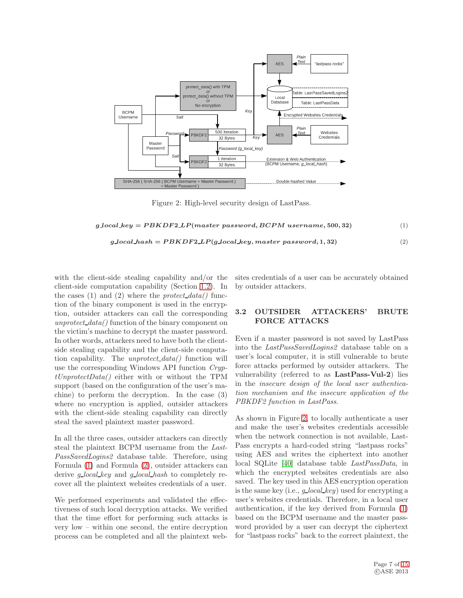

<span id="page-6-0"></span>Figure 2: High-level security design of LastPass.

<span id="page-6-1"></span> $g\text{.}local\text{.}key = PBKDF2\text{.}LP(master password, BCPM username, 500, 32)$  (1)

<span id="page-6-2"></span> $g\textcolor{red}{local\textcolor{black}{\mu}}ash = PBKDF2\textcolor{red}{L}P(g\textcolor{red}{local\textcolor{black}{\textcolor{black}{key}}}, master\textcolor{red}{password},1,32)$  (2)

with the client-side stealing capability and/or the client-side computation capability (Section [1.2\)](#page-3-1). In the cases (1) and (2) where the *protect data()* function of the binary component is used in the encryption, outsider attackers can call the corresponding *unprotect data()* function of the binary component on the victim's machine to decrypt the master password. In other words, attackers need to have both the clientside stealing capability and the client-side computation capability. The *unprotect data()* function will use the corresponding Windows API function *CryptUnprotectData()* either with or without the TPM support (based on the configuration of the user's machine) to perform the decryption. In the case (3) where no encryption is applied, outsider attackers with the client-side stealing capability can directly steal the saved plaintext master password.

In all the three cases, outsider attackers can directly steal the plaintext BCPM username from the *Last-PassSavedLogins2* database table. Therefore, using Formula [\(1\)](#page-6-1) and Formula [\(2\)](#page-6-2), outsider attackers can derive *g local key* and *g local hash* to completely recover all the plaintext websites credentials of a user.

We performed experiments and validated the effectiveness of such local decryption attacks. We verified that the time effort for performing such attacks is very low – within one second, the entire decryption process can be completed and all the plaintext web-

sites credentials of a user can be accurately obtained by outsider attackers.

#### <span id="page-6-3"></span>3.2 OUTSIDER ATTACKERS' BRUTE FORCE ATTACKS

Even if a master password is not saved by LastPass into the *LastPassSavedLogins2* database table on a user's local computer, it is still vulnerable to brute force attacks performed by outsider attackers. The vulnerability (referred to as LastPass-Vul-2) lies in the *insecure design of the local user authentication mechanism and the insecure application of the PBKDF2 function in LastPass*.

As shown in Figure [2,](#page-6-0) to locally authenticate a user and make the user's websites credentials accessible when the network connection is not available, Last-Pass encrypts a hard-coded string "lastpass rocks" using AES and writes the ciphertext into another local SQLite [\[40\]](#page-14-20) database table *LastPassData*, in which the encrypted websites credentials are also saved. The key used in this AES encryption operation is the same key (i.e., *g local key*) used for encrypting a user's websites credentials. Therefore, in a local user authentication, if the key derived from Formula [\(1\)](#page-6-1) based on the BCPM username and the master password provided by a user can decrypt the ciphertext for "lastpass rocks" back to the correct plaintext, the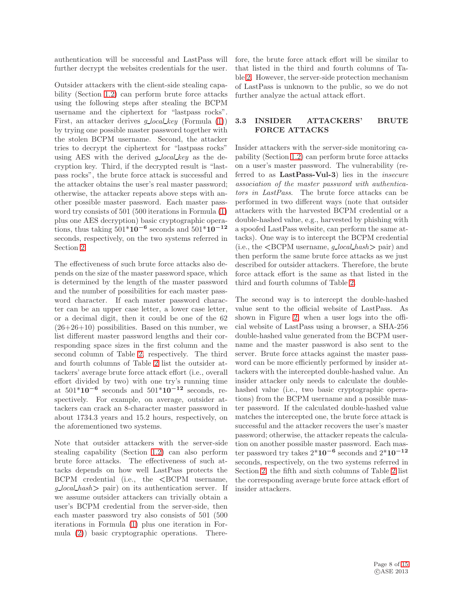authentication will be successful and LastPass will further decrypt the websites credentials for the user.

Outsider attackers with the client-side stealing capability (Section [1.2\)](#page-3-1) can perform brute force attacks using the following steps after stealing the BCPM username and the ciphertext for "lastpass rocks". First, an attacker derives *g local key* (Formula [\(1\)](#page-6-1)) by trying one possible master password together with the stolen BCPM username. Second, the attacker tries to decrypt the ciphertext for "lastpass rocks" using AES with the derived *g local key* as the decryption key. Third, if the decrypted result is "lastpass rocks", the brute force attack is successful and the attacker obtains the user's real master password; otherwise, the attacker repeats above steps with another possible master password. Each master password try consists of 501 (500 iterations in Formula [\(1\)](#page-6-1) plus one AES decryption) basic cryptographic operations, thus taking  $501*10^{-6}$  seconds and  $501*10^{-12}$ seconds, respectively, on the two systems referred in Section [2.](#page-4-0)

The effectiveness of such brute force attacks also depends on the size of the master password space, which is determined by the length of the master password and the number of possibilities for each master password character. If each master password character can be an upper case letter, a lower case letter, or a decimal digit, then it could be one of the 62  $(26+26+10)$  possibilities. Based on this number, we list different master password lengths and their corresponding space sizes in the first column and the second column of Table [2,](#page-8-0) respectively. The third and fourth columns of Table [2](#page-8-0) list the outsider attackers' average brute force attack effort (i.e., overall effort divided by two) with one try's running time at  $501*10^{-6}$  seconds and  $501*10^{-12}$  seconds, respectively. For example, on average, outsider attackers can crack an 8-character master password in about 1734.3 years and 15.2 hours, respectively, on the aforementioned two systems.

Note that outsider attackers with the server-side stealing capability (Section [1.2\)](#page-3-1) can also perform brute force attacks. The effectiveness of such attacks depends on how well LastPass protects the  $BCPM$  credential (i.e., the  $\langle BCPM$  username, *g local hash*> pair) on its authentication server. If we assume outsider attackers can trivially obtain a user's BCPM credential from the server-side, then each master password try also consists of 501 (500 iterations in Formula [\(1\)](#page-6-1) plus one iteration in Formula [\(2\)](#page-6-2)) basic cryptographic operations. There-

fore, the brute force attack effort will be similar to that listed in the third and fourth columns of Table [2.](#page-8-0) However, the server-side protection mechanism of LastPass is unknown to the public, so we do not further analyze the actual attack effort.

## <span id="page-7-0"></span>3.3 INSIDER ATTACKERS' BRUTE FORCE ATTACKS

Insider attackers with the server-side monitoring capability (Section [1.2\)](#page-3-1) can perform brute force attacks on a user's master password. The vulnerability (referred to as LastPass-Vul-3) lies in the *insecure association of the master password with authenticators in LastPass*. The brute force attacks can be performed in two different ways (note that outsider attackers with the harvested BCPM credential or a double-hashed value, e.g., harvested by phishing with a spoofed LastPass website, can perform the same attacks). One way is to intercept the BCPM credential  $(i.e., the **BCPM** username, *q\_local\_hash* > pair) and$ then perform the same brute force attacks as we just described for outsider attackers. Therefore, the brute force attack effort is the same as that listed in the third and fourth columns of Table [2.](#page-8-0)

The second way is to intercept the double-hashed value sent to the official website of LastPass. As shown in Figure [2,](#page-6-0) when a user logs into the official website of LastPass using a browser, a SHA-256 double-hashed value generated from the BCPM username and the master password is also sent to the server. Brute force attacks against the master password can be more efficiently performed by insider attackers with the intercepted double-hashed value. An insider attacker only needs to calculate the doublehashed value (i.e., two basic cryptographic operations) from the BCPM username and a possible master password. If the calculated double-hashed value matches the intercepted one, the brute force attack is successful and the attacker recovers the user's master password; otherwise, the attacker repeats the calculation on another possible master password. Each master password try takes  $2*10^{-6}$  seconds and  $2*10^{-12}$ seconds, respectively, on the two systems referred in Section [2;](#page-4-0) the fifth and sixth columns of Table [2](#page-8-0) list the corresponding average brute force attack effort of insider attackers.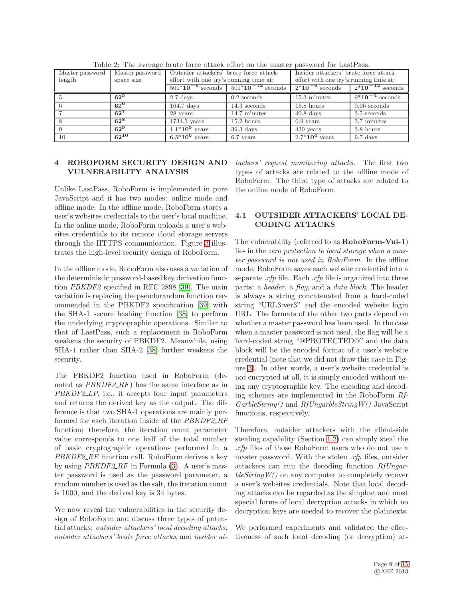| Master password | Master password | Outsider attackers' brute force attack    |                        | Insider attackers' brute force attack  |                      |
|-----------------|-----------------|-------------------------------------------|------------------------|----------------------------------------|----------------------|
| length          | space size      | effort with one try's running time at:    |                        | effort with one try's running time at: |                      |
|                 |                 | $\frac{501*10^{-6}}{201*10^{-6}}$ seconds | $501*10^{-12}$ seconds | $\frac{1}{2*10}$ <sup>-6</sup> seconds | $2*10^{-12}$ seconds |
|                 | $62^5$          | $2.7~{\rm days}$                          | $0.2$ seconds          | 15.3 minutes                           | $9*10^{-4}$ seconds  |
|                 | $62^6$          | $164.7$ days                              | $14.3$ seconds         | $15.8$ hours                           | $0.06$ seconds       |
|                 | $62^7$          | 28 years                                  | 14.7 minutes           | $40.8~{\rm days}$                      | 3.5 seconds          |
|                 | $62^{8}$        | $1734.3$ years                            | $15.2$ hours           | 6.9 years                              | 3.7 minutes          |
|                 | $62^9$          | $1.1*10^5$ years                          | $39.3$ days            | $430$ years                            | 3.8 hours            |
| 10              | $62^{10}$       | $6.5*10^6$ years                          | 6.7 years              | $2.7*10^4$ years                       | $9.7$ days           |

<span id="page-8-0"></span>Table 2: The average brute force attack effort on the master password for LastPass.

#### 4 ROBOFORM SECURITY DESIGN AND VULNERABILITY ANALYSIS

Unlike LastPass, RoboForm is implemented in pure JavaScript and it has two modes: online mode and offline mode. In the offline mode, RoboForm stores a user's websites credentials to the user's local machine. In the online mode, RoboForm uploads a user's websites credentials to its remote cloud storage servers through the HTTPS communication. Figure [3](#page-9-0) illustrates the high-level security design of RoboForm.

In the offline mode, RoboForm also uses a variation of the deterministic password-based key derivation function *PBKDF2* specified in RFC 2898 [\[39\]](#page-14-19). The main variation is replacing the pseudorandom function recommended in the PBKDF2 specification [\[39\]](#page-14-19) with the SHA-1 secure hashing function [\[38\]](#page-14-18) to perform the underlying cryptographic operations. Similar to that of LastPass, such a replacement in RoboForm weakens the security of PBKDF2. Meanwhile, using SHA-1 rather than SHA-2 [\[38\]](#page-14-18) further weakens the security.

The PBKDF2 function used in RoboForm (denoted as *PBKDF2 RF*) has the same interface as in *PBKDF2 LP*, i.e., it accepts four input parameters and returns the derived key as the output. The difference is that two SHA-1 operations are mainly performed for each iteration inside of the *PBKDF2 RF* function; therefore, the iteration count parameter value corresponds to one half of the total number of basic cryptographic operations performed in a *PBKDF2 RF* function call. RoboForm derives a key by using *PBKDF2 RF* in Formula [\(3\)](#page-9-1). A user's master password is used as the password parameter, a random number is used as the salt, the iteration count is 1000, and the derived key is 34 bytes.

We now reveal the vulnerabilities in the security design of RoboForm and discuss three types of potential attacks: *outsider attackers' local decoding attacks*, *outsider attackers' brute force attacks*, and *insider at-*

*tackers' request monitoring attacks*. The first two types of attacks are related to the offline mode of RoboForm. The third type of attacks are related to the online mode of RoboForm.

## <span id="page-8-1"></span>4.1 OUTSIDER ATTACKERS' LOCAL DE-CODING ATTACKS

The vulnerability (referred to as RoboForm-Vul-1) lies in the *zero protection to local storage when a master password is not used in RoboForm*. In the offline mode, RoboForm saves each website credential into a separate *.rfp* file. Each *.rfp* file is organized into three parts: a *header*, a *flag*, and a *data block*. The header is always a string concatenated from a hard-coded string "URL3:ver3" and the encoded website login URL. The formats of the other two parts depend on whether a master password has been used. In the case when a master password is not used, the flag will be a hard-coded string "@PROTECTED@" and the data block will be the encoded format of a user's website credential (note that we did not draw this case in Figure [3\)](#page-9-0). In other words, a user's website credential is not encrypted at all, it is simply encoded without using any cryptographic key. The encoding and decoding schemes are implemented in the RoboForm *Rf-GarbleString()* and *RfUngarbleStringW()* JavaScript functions, respectively.

Therefore, outsider attackers with the client-side stealing capability (Section [1.2\)](#page-3-1) can simply steal the *.rfp* files of those RoboForm users who do not use a master password. With the stolen *.rfp* files, outsider attackers can run the decoding function *RfUngarbleStringW()* on any computer to completely recover a user's websites credentials. Note that local decoding attacks can be regarded as the simplest and most special forms of local decryption attacks in which no decryption keys are needed to recover the plaintexts.

We performed experiments and validated the effectiveness of such local decoding (or decryption) at-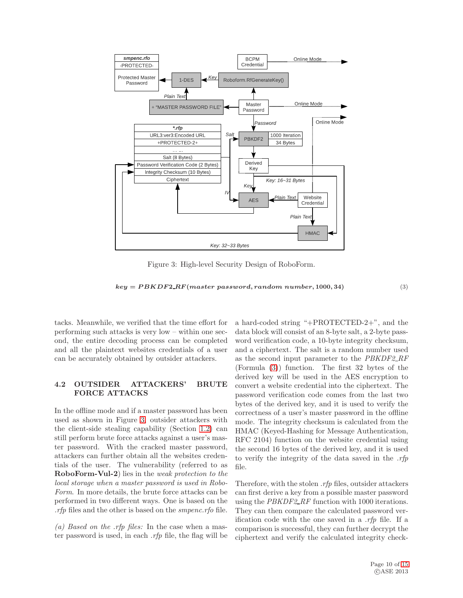

<span id="page-9-0"></span>Figure 3: High-level Security Design of RoboForm.

<span id="page-9-1"></span> $key = PBKDF2.RF(maxster password, random number, 1000, 34)$  (3)

tacks. Meanwhile, we verified that the time effort for performing such attacks is very low – within one second, the entire decoding process can be completed and all the plaintext websites credentials of a user can be accurately obtained by outsider attackers.

#### <span id="page-9-2"></span>4.2 OUTSIDER ATTACKERS' BRUTE FORCE ATTACKS

In the offline mode and if a master password has been used as shown in Figure [3,](#page-9-0) outsider attackers with the client-side stealing capability (Section [1.2\)](#page-3-1) can still perform brute force attacks against a user's master password. With the cracked master password, attackers can further obtain all the websites credentials of the user. The vulnerability (referred to as RoboForm-Vul-2) lies in the *weak protection to the local storage when a master password is used in Robo-Form*. In more details, the brute force attacks can be performed in two different ways. One is based on the *.rfp* files and the other is based on the *smpenc.rfo* file.

*(a) Based on the .rfp files:* In the case when a master password is used, in each *.rfp* file, the flag will be a hard-coded string "+PROTECTED-2+", and the data block will consist of an 8-byte salt, a 2-byte password verification code, a 10-byte integrity checksum, and a ciphertext. The salt is a random number used as the second input parameter to the *PBKDF2 RF* (Formula [\(3\)](#page-9-1)) function. The first 32 bytes of the derived key will be used in the AES encryption to convert a website credential into the ciphertext. The password verification code comes from the last two bytes of the derived key, and it is used to verify the correctness of a user's master password in the offline mode. The integrity checksum is calculated from the HMAC (Keyed-Hashing for Message Authentication, RFC 2104) function on the website credential using the second 16 bytes of the derived key, and it is used to verify the integrity of the data saved in the *.rfp* file.

Therefore, with the stolen *.rfp* files, outsider attackers can first derive a key from a possible master password using the *PBKDF2 RF* function with 1000 iterations. They can then compare the calculated password verification code with the one saved in a *.rfp* file. If a comparison is successful, they can further decrypt the ciphertext and verify the calculated integrity check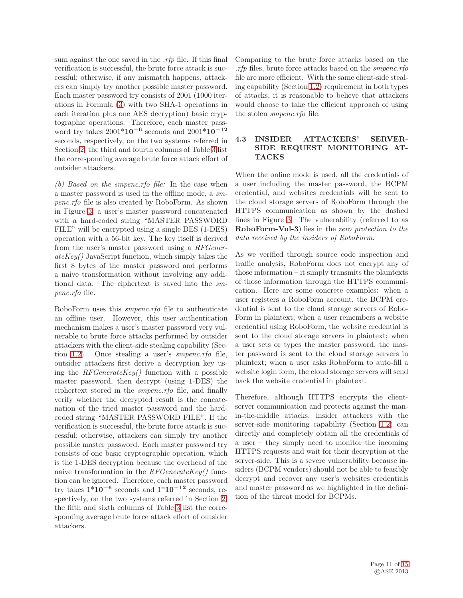sum against the one saved in the *.rfp* file. If this final verification is successful, the brute force attack is successful; otherwise, if any mismatch happens, attackers can simply try another possible master password. Each master password try consists of 2001 (1000 iterations in Formula [\(3\)](#page-9-1) with two SHA-1 operations in each iteration plus one AES decryption) basic cryptographic operations. Therefore, each master password try takes 2001\*10−<sup>6</sup> seconds and 2001\*10−<sup>12</sup> seconds, respectively, on the two systems referred in Section [2;](#page-4-0) the third and fourth columns of Table [3](#page-11-1) list the corresponding average brute force attack effort of outsider attackers.

*(b) Based on the smpenc.rfo file:* In the case when a master password is used in the offline mode, a *smpenc.rfo* file is also created by RoboForm. As shown in Figure [3,](#page-9-0) a user's master password concatenated with a hard-coded string "MASTER PASSWORD FILE" will be encrypted using a single DES (1-DES) operation with a 56-bit key. The key itself is derived from the user's master password using a *RFGenerateKey()* JavaScript function, which simply takes the first 8 bytes of the master password and performs a naive transformation without involving any additional data. The ciphertext is saved into the *smpenc.rfo* file.

RoboForm uses this *smpenc.rfo* file to authenticate an offline user. However, this user authentication mechanism makes a user's master password very vulnerable to brute force attacks performed by outsider attackers with the client-side stealing capability (Section [1.2\)](#page-3-1). Once stealing a user's *smpenc.rfo* file, outsider attackers first derive a decryption key using the *RFGenerateKey()* function with a possible master password, then decrypt (using 1-DES) the ciphertext stored in the *smpenc.rfo* file, and finally verify whether the decrypted result is the concatenation of the tried master password and the hardcoded string "MASTER PASSWORD FILE". If the verification is successful, the brute force attack is successful; otherwise, attackers can simply try another possible master password. Each master password try consists of one basic cryptographic operation, which is the 1-DES decryption because the overhead of the naive transformation in the *RFGenerateKey()* function can be ignored. Therefore, each master password try takes  $1*10^{-6}$  seconds and  $1*10^{-12}$  seconds, respectively, on the two systems referred in Section [2;](#page-4-0) the fifth and sixth columns of Table [3](#page-11-1) list the corresponding average brute force attack effort of outsider attackers.

Comparing to the brute force attacks based on the *.rfp* files, brute force attacks based on the *smpenc.rfo* file are more efficient. With the same client-side stealing capability (Section [1.2\)](#page-3-1) requirement in both types of attacks, it is reasonable to believe that attackers would choose to take the efficient approach of using the stolen *smpenc.rfo* file.

### <span id="page-10-0"></span>4.3 INSIDER ATTACKERS' SERVER-SIDE REQUEST MONITORING AT-TACKS

When the online mode is used, all the credentials of a user including the master password, the BCPM credential, and websites credentials will be sent to the cloud storage servers of RoboForm through the HTTPS communication as shown by the dashed lines in Figure [3.](#page-9-0) The vulnerability (referred to as RoboForm-Vul-3) lies in the *zero protection to the data received by the insiders of RoboForm*.

As we verified through source code inspection and traffic analysis, RoboForm does not encrypt any of those information – it simply transmits the plaintexts of those information through the HTTPS communication. Here are some concrete examples: when a user registers a RoboForm account, the BCPM credential is sent to the cloud storage servers of Robo-Form in plaintext; when a user remembers a website credential using RoboForm, the website credential is sent to the cloud storage servers in plaintext; when a user sets or types the master password, the master password is sent to the cloud storage servers in plaintext; when a user asks RoboForm to auto-fill a website login form, the cloud storage servers will send back the website credential in plaintext.

Therefore, although HTTPS encrypts the clientserver communication and protects against the manin-the-middle attacks, insider attackers with the server-side monitoring capability (Section [1.2\)](#page-3-1) can directly and completely obtain all the credentials of a user – they simply need to monitor the incoming HTTPS requests and wait for their decryption at the server-side. This is a severe vulnerability because insiders (BCPM vendors) should not be able to feasibly decrypt and recover any user's websites credentials and master password as we highlighted in the definition of the threat model for BCPMs.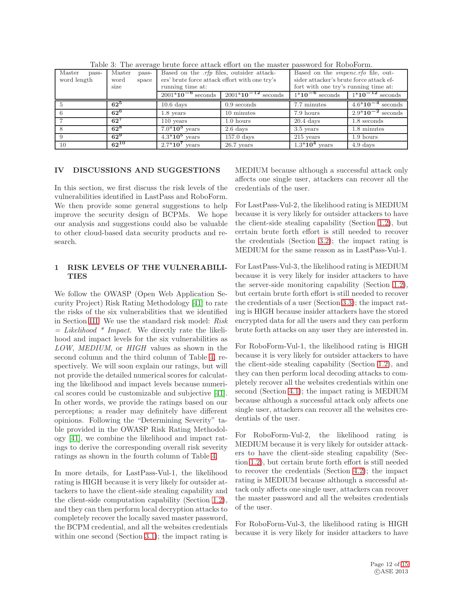| Table 0. The average brave force aveaux chore on the master password for responsibility |                 |                                                 |                         |                                           |                       |
|-----------------------------------------------------------------------------------------|-----------------|-------------------------------------------------|-------------------------|-------------------------------------------|-----------------------|
| Master<br>pass-                                                                         | Master<br>pass- | Based on the <i>rfp</i> files, outsider attack- |                         | Based on the <i>smpenc.rfo</i> file, out- |                       |
| word length                                                                             | word<br>space   | ers' brute force attack effort with one try's   |                         | sider attacker's brute force attack ef-   |                       |
|                                                                                         | size            | running time at:                                |                         | fort with one try's running time at:      |                       |
|                                                                                         |                 | $2001*10^{-6}$ seconds                          | $2001*10^{-12}$ seconds | $\frac{1}{1*10}$ <sup>-6</sup> seconds    | $1*10^{-12}$ seconds  |
|                                                                                         | $62^5$          | $10.6$ days                                     | $0.9$ seconds           | 7.7 minutes                               | $4.6*10^{-4}$ seconds |
|                                                                                         | $62^6$          | $1.8$ years                                     | 10 minutes              | 7.9 hours                                 | $2.9*10^{-2}$ seconds |
|                                                                                         | $62^7$          | $110$ years                                     | 1.0 hours               | $20.4~\mathrm{days}$                      | 1.8 seconds           |
|                                                                                         | $62^8$          | $7.0*10^3$ years                                | $2.6~{\rm days}$        | $3.5$ years                               | 1.8 minutes           |
|                                                                                         | $62^9$          | $4.3*10^5$ years                                | $157.0$ days            | $215$ years                               | $1.9$ hours           |
| 10 <sup>1</sup>                                                                         | $62^{10}$       | $2.7*10^7$ years                                | $26.7$ years            | $1.3*104$ years                           | 4.9 days              |

<span id="page-11-1"></span>Table 3: The average brute force attack effort on the master password for RoboForm.

## <span id="page-11-0"></span>IV DISCUSSIONS AND SUGGESTIONS

In this section, we first discuss the risk levels of the vulnerabilities identified in LastPass and RoboForm. We then provide some general suggestions to help improve the security design of BCPMs. We hope our analysis and suggestions could also be valuable to other cloud-based data security products and research.

## 1 RISK LEVELS OF THE VULNERABILI-TIES

We follow the OWASP (Open Web Application Security Project) Risk Rating Methodology [\[41\]](#page-14-21) to rate the risks of the six vulnerabilities that we identified in Section [III.](#page-2-0) We use the standard risk model: *Risk = Likelihood \* Impact*. We directly rate the likelihood and impact levels for the six vulnerabilities as *LOW*, *MEDIUM*, or *HIGH* values as shown in the second column and the third column of Table [4,](#page-12-0) respectively. We will soon explain our ratings, but will not provide the detailed numerical scores for calculating the likelihood and impact levels because numerical scores could be customizable and subjective [\[41\]](#page-14-21). In other words, we provide the ratings based on our perceptions; a reader may definitely have different opinions. Following the "Determining Severity" table provided in the OWASP Risk Rating Methodology [\[41\]](#page-14-21), we combine the likelihood and impact ratings to derive the corresponding overall risk severity ratings as shown in the fourth column of Table [4.](#page-12-0)

In more details, for LastPass-Vul-1, the likelihood rating is HIGH because it is very likely for outsider attackers to have the client-side stealing capability and the client-side computation capability (Section [1.2\)](#page-3-1), and they can then perform local decryption attacks to completely recover the locally saved master password, the BCPM credential, and all the websites credentials within one second (Section [3.1\)](#page-5-0); the impact rating is

MEDIUM because although a successful attack only affects one single user, attackers can recover all the credentials of the user.

For LastPass-Vul-2, the likelihood rating is MEDIUM because it is very likely for outsider attackers to have the client-side stealing capability (Section [1.2\)](#page-3-1), but certain brute forth effort is still needed to recover the credentials (Section [3.2\)](#page-6-3); the impact rating is MEDIUM for the same reason as in LastPass-Vul-1.

For LastPass-Vul-3, the likelihood rating is MEDIUM because it is very likely for insider attackers to have the server-side monitoring capability (Section [1.2\)](#page-3-1), but certain brute forth effort is still needed to recover the credentials of a user (Section [3.3\)](#page-7-0); the impact rating is HIGH because insider attackers have the stored encrypted data for all the users and they can perform brute forth attacks on any user they are interested in.

For RoboForm-Vul-1, the likelihood rating is HIGH because it is very likely for outsider attackers to have the client-side stealing capability (Section [1.2\)](#page-3-1), and they can then perform local decoding attacks to completely recover all the websites credentials within one second (Section [4.1\)](#page-8-1); the impact rating is MEDIUM because although a successful attack only affects one single user, attackers can recover all the websites credentials of the user.

For RoboForm-Vul-2, the likelihood rating is MEDIUM because it is very likely for outsider attackers to have the client-side stealing capability (Section [1.2\)](#page-3-1), but certain brute forth effort is still needed to recover the credentials (Section [4.2\)](#page-9-2); the impact rating is MEDIUM because although a successful attack only affects one single user, attackers can recover the master password and all the websites credentials of the user.

For RoboForm-Vul-3, the likelihood rating is HIGH because it is very likely for insider attackers to have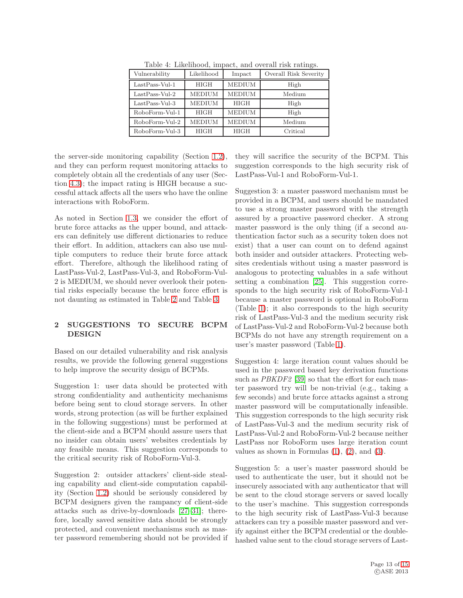| Vulnerability    | Likelihood    | Impact        | Overall Risk Severity |
|------------------|---------------|---------------|-----------------------|
| $LastPass-Vul-1$ | <b>HIGH</b>   | <b>MEDIUM</b> | High                  |
| $LastPass-Val-2$ | <b>MEDIUM</b> | <b>MEDIUM</b> | Medium                |
| $LastPass-Val-3$ | <b>MEDIUM</b> | <b>HIGH</b>   | High                  |
| RoboForm-Vul-1   | <b>HIGH</b>   | <b>MEDIUM</b> | High                  |
| RoboForm-Vul-2   | <b>MEDIUM</b> | <b>MEDIUM</b> | Medium                |
| RoboForm-Vul-3   | <b>HIGH</b>   | <b>HIGH</b>   | Critical              |

<span id="page-12-0"></span>Table 4: Likelihood, impact, and overall risk ratings.

the server-side monitoring capability (Section [1.2\)](#page-3-1), and they can perform request monitoring attacks to completely obtain all the credentials of any user (Section [4.3\)](#page-10-0); the impact rating is HIGH because a successful attack affects all the users who have the online interactions with RoboForm.

As noted in Section [1.3,](#page-4-1) we consider the effort of brute force attacks as the upper bound, and attackers can definitely use different dictionaries to reduce their effort. In addition, attackers can also use multiple computers to reduce their brute force attack effort. Therefore, although the likelihood rating of LastPass-Vul-2, LastPass-Vul-3, and RoboForm-Vul-2 is MEDIUM, we should never overlook their potential risks especially because the brute force effort is not daunting as estimated in Table [2](#page-8-0) and Table [3.](#page-11-1)

#### 2 SUGGESTIONS TO SECURE BCPM DESIGN

Based on our detailed vulnerability and risk analysis results, we provide the following general suggestions to help improve the security design of BCPMs.

Suggestion 1: user data should be protected with strong confidentiality and authenticity mechanisms before being sent to cloud storage servers. In other words, strong protection (as will be further explained in the following suggestions) must be performed at the client-side and a BCPM should assure users that no insider can obtain users' websites credentials by any feasible means. This suggestion corresponds to the critical security risk of RoboForm-Vul-3.

Suggestion 2: outsider attackers' client-side stealing capability and client-side computation capability (Section [1.2\)](#page-3-1) should be seriously considered by BCPM designers given the rampancy of client-side attacks such as drive-by-downloads [\[27–](#page-14-10)[31\]](#page-14-11); therefore, locally saved sensitive data should be strongly protected, and convenient mechanisms such as master password remembering should not be provided if

they will sacrifice the security of the BCPM. This suggestion corresponds to the high security risk of LastPass-Vul-1 and RoboForm-Vul-1.

Suggestion 3: a master password mechanism must be provided in a BCPM, and users should be mandated to use a strong master password with the strength assured by a proactive password checker. A strong master password is the only thing (if a second authentication factor such as a security token does not exist) that a user can count on to defend against both insider and outsider attackers. Protecting websites credentials without using a master password is analogous to protecting valuables in a safe without setting a combination [\[25\]](#page-14-8). This suggestion corresponds to the high security risk of RoboForm-Vul-1 because a master password is optional in RoboForm (Table [1\)](#page-2-1); it also corresponds to the high security risk of LastPass-Vul-3 and the medium security risk of LastPass-Vul-2 and RoboForm-Vul-2 because both BCPMs do not have any strength requirement on a user's master password (Table [1\)](#page-2-1).

Suggestion 4: large iteration count values should be used in the password based key derivation functions such as *PBKDF2* [\[39\]](#page-14-19) so that the effort for each master password try will be non-trivial (e.g., taking a few seconds) and brute force attacks against a strong master password will be computationally infeasible. This suggestion corresponds to the high security risk of LastPass-Vul-3 and the medium security risk of LastPass-Vul-2 and RoboForm-Vul-2 because neither LastPass nor RoboForm uses large iteration count values as shown in Formulas  $(1)$ ,  $(2)$ , and  $(3)$ .

Suggestion 5: a user's master password should be used to authenticate the user, but it should not be insecurely associated with any authenticator that will be sent to the cloud storage servers or saved locally to the user's machine. This suggestion corresponds to the high security risk of LastPass-Vul-3 because attackers can try a possible master password and verify against either the BCPM credential or the doublehashed value sent to the cloud storage servers of Last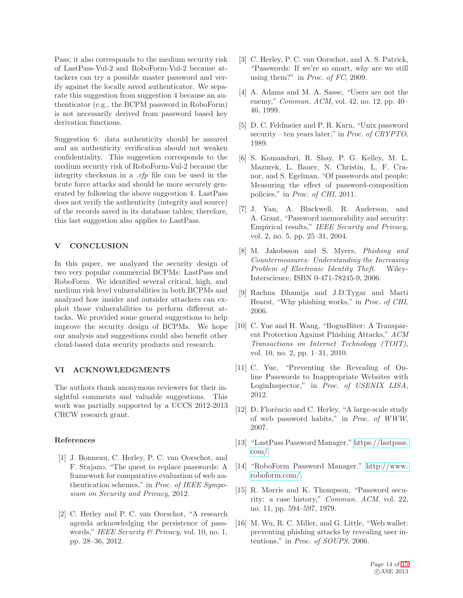Pass; it also corresponds to the medium security risk of LastPass-Vul-2 and RoboForm-Vul-2 because attackers can try a possible master password and verify against the locally saved authenticator. We separate this suggestion from suggestion 4 because an authenticator (e.g., the BCPM password in RoboForm) is not necessarily derived from password based key derivation functions.

Suggestion 6: data authenticity should be assured and an authenticity verification should not weaken confidentiality. This suggestion corresponds to the medium security risk of RoboForm-Vul-2 because the integrity checksum in a *.rfp* file can be used in the brute force attacks and should be more securely generated by following the above suggestion 4. LastPass does not verify the authenticity (integrity and source) of the records saved in its database tables; therefore, this last suggestion also applies to LastPass.

#### <span id="page-13-11"></span>V CONCLUSION

In this paper, we analyzed the security design of two very popular commercial BCPMs: LastPass and RoboForm. We identified several critical, high, and medium risk level vulnerabilities in both BCPMs and analyzed how insider and outsider attackers can exploit those vulnerabilities to perform different attacks. We provided some general suggestions to help improve the security design of BCPMs. We hope our analysis and suggestions could also benefit other cloud-based data security products and research.

#### VI ACKNOWLEDGMENTS

The authors thank anonymous reviewers for their insightful comments and valuable suggestions. This work was partially supported by a UCCS 2012-2013 CRCW research grant.

#### <span id="page-13-0"></span>References

- [1] J. Bonneau, C. Herley, P. C. van Oorschot, and F. Stajano, "The quest to replace passwords: A framework for comparative evaluation of web authentication schemes," in *Proc. of IEEE Symposium on Security and Privacy*, 2012.
- <span id="page-13-8"></span>[2] C. Herley and P. C. van Oorschot, "A research agenda acknowledging the persistence of passwords," *IEEE Security & Privacy*, vol. 10, no. 1, pp. 28–36, 2012.
- <span id="page-13-1"></span>[3] C. Herley, P. C. van Oorschot, and A. S. Patrick, "Passwords: If we're so smart, why are we still using them?" in *Proc. of FC*, 2009.
- <span id="page-13-2"></span>[4] A. Adams and M. A. Sasse, "Users are not the enemy," *Commun. ACM*, vol. 42, no. 12, pp. 40– 46, 1999.
- <span id="page-13-13"></span>[5] D. C. Feldmeier and P. R. Karn, "Unix password security – ten years later," in *Proc. of CRYPTO*, 1989.
- <span id="page-13-7"></span>[6] S. Komanduri, R. Shay, P. G. Kelley, M. L. Mazurek, L. Bauer, N. Christin, L. F. Cranor, and S. Egelman, "Of passwords and people: Measuring the effect of password-composition policies," in *Proc. of CHI*, 2011.
- <span id="page-13-3"></span>[7] J. Yan, A. Blackwell, R. Anderson, and A. Grant, "Password memorability and security: Empirical results," *IEEE Security and Privacy*, vol. 2, no. 5, pp. 25–31, 2004.
- <span id="page-13-4"></span>[8] M. Jakobsson and S. Myers, *Phishing and Countermeasures: Understanding the Increasing Problem of Electronic Identity Theft*. Wiley-Interscience, ISBN 0-471-78245-9, 2006.
- [9] Rachna Dhamija and J.D.Tygar and Marti Hearst, "Why phishing works," in *Proc. of CHI*, 2006.
- [10] C. Yue and H. Wang, "BogusBiter: A Transparent Protection Against Phishing Attacks," *ACM Transactions on Internet Technology (TOIT)*, vol. 10, no. 2, pp. 1–31, 2010.
- <span id="page-13-5"></span>[11] C. Yue, "Preventing the Revealing of Online Passwords to Inappropriate Websites with LoginInspector," in *Proc. of USENIX LISA*, 2012.
- <span id="page-13-6"></span>[12] D. Florêncio and C. Herley, "A large-scale study of web password habits," in *Proc. of WWW*, 2007.
- <span id="page-13-9"></span>[13] "LastPass Password Manager." [https://lastpass.](https://lastpass.com/) [com/.](https://lastpass.com/)
- <span id="page-13-10"></span>[14] "RoboForm Password Manager." [http://www.](http://www.roboform.com/) [roboform.com/.](http://www.roboform.com/)
- <span id="page-13-12"></span>[15] R. Morris and K. Thompson, "Password security: a case history," *Commun. ACM*, vol. 22, no. 11, pp. 594–597, 1979.
- <span id="page-13-14"></span>[16] M. Wu, R. C. Miller, and G. Little, "Web wallet: preventing phishing attacks by revealing user intentions," in *Proc. of SOUPS*, 2006.